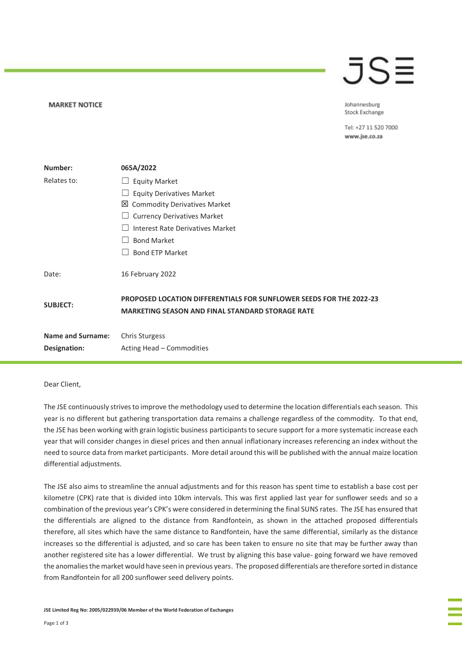### JS≣

Johannesburg Stock Exchange

Tel: +27 11 520 7000 www.jse.co.za

| Number:                  | 065A/2022                                                                                                                             |  |  |  |  |
|--------------------------|---------------------------------------------------------------------------------------------------------------------------------------|--|--|--|--|
| Relates to:              | <b>Equity Market</b>                                                                                                                  |  |  |  |  |
|                          | <b>Equity Derivatives Market</b>                                                                                                      |  |  |  |  |
|                          | 凶 Commodity Derivatives Market                                                                                                        |  |  |  |  |
|                          | $\Box$ Currency Derivatives Market                                                                                                    |  |  |  |  |
|                          | Interest Rate Derivatives Market                                                                                                      |  |  |  |  |
|                          | <b>Bond Market</b>                                                                                                                    |  |  |  |  |
|                          | <b>Bond ETP Market</b>                                                                                                                |  |  |  |  |
| Date:                    | 16 February 2022                                                                                                                      |  |  |  |  |
| <b>SUBJECT:</b>          | <b>PROPOSED LOCATION DIFFERENTIALS FOR SUNFLOWER SEEDS FOR THE 2022-23</b><br><b>MARKETING SEASON AND FINAL STANDARD STORAGE RATE</b> |  |  |  |  |
| <b>Name and Surname:</b> | <b>Chris Sturgess</b>                                                                                                                 |  |  |  |  |
| Designation:             | Acting Head - Commodities                                                                                                             |  |  |  |  |

### Dear Client,

**MARKET NOTICE** 

The JSE continuously strives to improve the methodology used to determine the location differentials each season. This year is no different but gathering transportation data remains a challenge regardless of the commodity. To that end, the JSE has been working with grain logistic business participants to secure support for a more systematic increase each year that will consider changes in diesel prices and then annual inflationary increases referencing an index without the need to source data from market participants. More detail around this will be published with the annual maize location differential adjustments.

The JSE also aims to streamline the annual adjustments and for this reason has spent time to establish a base cost per kilometre (CPK) rate that is divided into 10km intervals. This was first applied last year for sunflower seeds and so a combination of the previous year's CPK's were considered in determining the final SUNS rates. The JSE has ensured that the differentials are aligned to the distance from Randfontein, as shown in the attached proposed differentials therefore, all sites which have the same distance to Randfontein, have the same differential, similarly as the distance increases so the differential is adjusted, and so care has been taken to ensure no site that may be further away than another registered site has a lower differential. We trust by aligning this base value- going forward we have removed the anomalies the market would have seen in previous years. The proposed differentials are therefore sorted in distance from Randfontein for all 200 sunflower seed delivery points.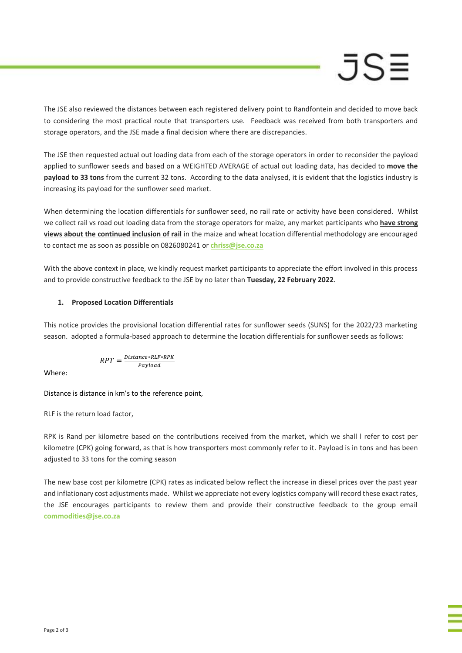## $JS =$

The JSE also reviewed the distances between each registered delivery point to Randfontein and decided to move back to considering the most practical route that transporters use. Feedback was received from both transporters and storage operators, and the JSE made a final decision where there are discrepancies.

The JSE then requested actual out loading data from each of the storage operators in order to reconsider the payload applied to sunflower seeds and based on a WEIGHTED AVERAGE of actual out loading data, has decided to **move the payload to 33 tons** from the current 32 tons. According to the data analysed, it is evident that the logistics industry is increasing its payload for the sunflower seed market.

When determining the location differentials for sunflower seed, no rail rate or activity have been considered. Whilst we collect rail vs road out loading data from the storage operators for maize, any market participants who **have strong views about the continued inclusion of rail** in the maize and wheat location differential methodology are encouraged to contact me as soon as possible on 0826080241 or **[chriss@jse.co.za](mailto:chriss@jse.co.za)**

With the above context in place, we kindly request market participants to appreciate the effort involved in this process and to provide constructive feedback to the JSE by no later than **Tuesday, 22 February 2022**.

### **1. Proposed Location Differentials**

This notice provides the provisional location differential rates for sunflower seeds (SUNS) for the 2022/23 marketing season. adopted a formula-based approach to determine the location differentials for sunflower seeds as follows:

$$
RPT = \frac{Distance * RLF * RPK}{Payload}
$$

Where:

Distance is distance in km's to the reference point,

RLF is the return load factor,

RPK is Rand per kilometre based on the contributions received from the market, which we shall l refer to cost per kilometre (CPK) going forward, as that is how transporters most commonly refer to it. Payload is in tons and has been adjusted to 33 tons for the coming season

The new base cost per kilometre (CPK) rates as indicated below reflect the increase in diesel prices over the past year and inflationary cost adjustments made. Whilst we appreciate not every logistics company will record these exact rates, the JSE encourages participants to review them and provide their constructive feedback to the group email **[commodities@jse.co.za](mailto:commodities@jse.co.za)**